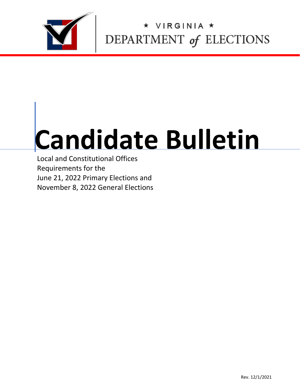

# VIRGINIA \* DEPARTMENT of ELECTIONS

# **Candidate Bulletin**

Local and Constitutional Offices Requirements for the June 21, 2022 Primary Elections and November 8, 2022 General Elections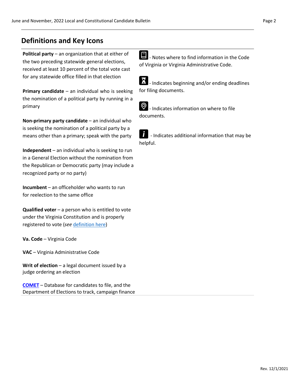## **Definitions and Key Icons**

**Political party** – an organization that at either of the two preceding statewide general elections, received at least 10 percent of the total vote cast for any statewide office filled in that election

**Primary candidate** – an individual who is seeking the nomination of a political party by running in a primary

**Non-primary party candidate** – an individual who is seeking the nomination of a political party by a means other than a primary; speak with the party

**Independent** – an individual who is seeking to run in a General Election without the nomination from the Republican or Democratic party (may include a recognized party or no party)

**Incumbent** – an officeholder who wants to run for reelection to the same office

**Qualified voter** – a person who is entitled to vote under the Virginia Constitution and is properly registered to vote (*see* [definition here\)](https://law.lis.virginia.gov/vacode/title24.2/chapter1/section24.2-101/)

**Va. Code** – Virginia Code

**VAC** – Virginia Administrative Code

**Writ of election** – a legal document issued by a judge ordering an election

**[COMET](https://cf.elections.virginia.gov/Account/LogOn?ReturnUrl=%2f)** – Database for candidates to file, and the Department of Elections to track, campaign finance **E** - Notes where to find information in the Code of Virginia or Virginia Administrative Code.



- Indicates beginning and/or ending deadlines for filing documents.



 $\circled{Q}$  - Indicates information on where to file documents.

- Indicates additional information that may be helpful.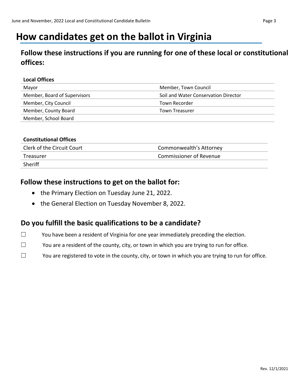## **How candidates get on the ballot in Virginia**

## **Follow these instructions if you are running for one of these local or constitutional offices:**

#### **Local Offices**

| Mayor                        | Member, Town Council                 |
|------------------------------|--------------------------------------|
| Member, Board of Supervisors | Soil and Water Conservation Director |
| Member, City Council         | Town Recorder                        |
| Member, County Board         | Town Treasurer                       |
| Member, School Board         |                                      |

#### **Constitutional Offices**

| Clerk of the Circuit Court | Commonwealth's Attorney        |
|----------------------------|--------------------------------|
| Treasurer                  | <b>Commissioner of Revenue</b> |
| Sheriff                    |                                |

## **Follow these instructions to get on the ballot for:**

- the Primary Election on Tuesday June 21, 2022.
- the General Election on Tuesday November 8, 2022.

## **Do you fulfill the basic qualifications to be a candidate?**

- ☐ You have been a resident of Virginia for one year immediately preceding the election.
- ☐ You are a resident of the county, city, or town in which you are trying to run for office.
- $\Box$  You are registered to vote in the county, city, or town in which you are trying to run for office.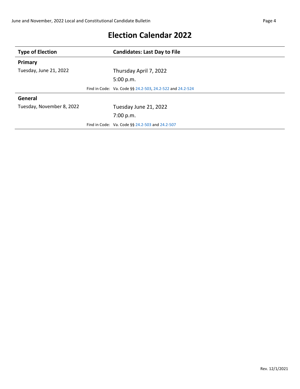| <b>Type of Election</b>   | <b>Candidates: Last Day to File</b>                       |
|---------------------------|-----------------------------------------------------------|
| Primary                   |                                                           |
| Tuesday, June 21, 2022    | Thursday April 7, 2022                                    |
|                           | 5:00 p.m.                                                 |
|                           | Find in Code: Va. Code §§ 24.2-503, 24.2-522 and 24.2-524 |
| General                   |                                                           |
| Tuesday, November 8, 2022 | Tuesday June 21, 2022                                     |
|                           | 7:00 p.m.                                                 |
|                           | Find in Code: Va. Code §§ 24.2-503 and 24.2-507           |

## **Election Calendar 2022**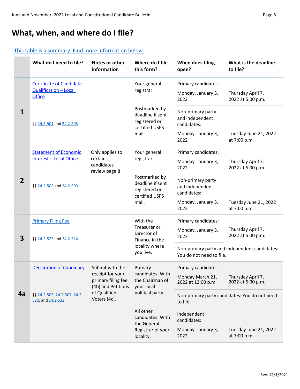## **What, when, and where do I file?**

#### [This table is a summary. Find more information below.](#page-6-0)

|                         | What do I need to file?                                                                                   | Notes or other<br>information                                | Where do I file<br>this form?                     | When does filing<br>open?                                 | What is the deadline<br>to file?              |
|-------------------------|-----------------------------------------------------------------------------------------------------------|--------------------------------------------------------------|---------------------------------------------------|-----------------------------------------------------------|-----------------------------------------------|
|                         | <b>Certificate of Candidate</b>                                                                           |                                                              | Your general                                      | Primary candidates:                                       |                                               |
|                         | <b>Qualification - Local</b><br><b>Office</b>                                                             |                                                              | registrar                                         | Monday, January 3,<br>2022                                | Thursday April 7,<br>2022 at 5:00 p.m.        |
| 1                       | Postmarked by<br>deadline if sent<br>registered or<br>§§ 24.2-501 and 24.2-503<br>certified USPS          | Non-primary party<br>and independent<br>candidates:          |                                                   |                                                           |                                               |
|                         |                                                                                                           |                                                              | mail.                                             | Monday, January 3,<br>2022                                | Tuesday June 21, 2022<br>at 7:00 p.m.         |
|                         | <b>Statement of Economic</b>                                                                              | Only applies to                                              | Your general                                      | Primary candidates:                                       |                                               |
|                         | Interest - Local Office                                                                                   | certain<br>candidates<br>review page 8                       | registrar                                         | Monday, January 3,<br>2022                                | Thursday April 7,<br>2022 at 5:00 p.m.        |
| $\overline{2}$          | Postmarked by<br>deadline if sent<br>§§ 24.2-502 and 24.2-503<br>registered or<br>certified USPS<br>mail. | Non-primary party<br>and independent<br>candidates:          |                                                   |                                                           |                                               |
|                         |                                                                                                           |                                                              | Monday, January 3,<br>2022                        | Tuesday June 21, 2022<br>at 7:00 p.m.                     |                                               |
|                         | <b>Primary Filing Fee</b>                                                                                 |                                                              | With the                                          | Primary candidates:                                       |                                               |
| $\overline{\mathbf{3}}$ | §§ 24.2-523 and 24.2-524                                                                                  |                                                              | Treasurer or<br>Director of<br>Finance in the     | Monday, January 3,<br>2022                                | Thursday April 7,<br>2022 at 5:00 p.m.        |
|                         |                                                                                                           |                                                              |                                                   | You do not need to file.                                  | Non-primary party and independent candidates: |
|                         | <b>Declaration of Candidacy</b>                                                                           | Submit with the                                              | Primary                                           | Primary candidates:                                       |                                               |
|                         | of Qualified<br>\$§ 24.2-505, 24.2-507, 24.2-<br>Voters (4c).<br>520, and 24.2-522                        | receipt for your<br>primary filing fee<br>(4b) and Petitions | candidates: With<br>the Chairman of<br>your local | Monday March 21,<br>2022 at 12:00 p.m.                    | Thursday April 7,<br>2022 at 5:00 p.m.        |
| 4a                      |                                                                                                           |                                                              | political party.                                  | Non-primary party candidates: You do not need<br>to file. |                                               |
|                         |                                                                                                           |                                                              |                                                   | Independent<br>candidates:                                |                                               |
|                         |                                                                                                           |                                                              | the General<br>Registrar of your<br>locality.     | Monday, January 3,<br>2022                                | Tuesday June 21, 2022<br>at 7:00 p.m.         |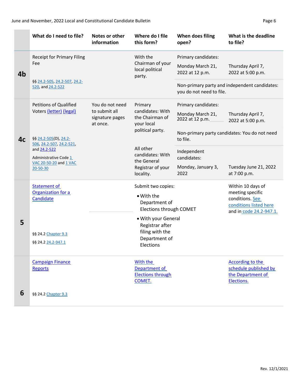|                | What do I need to file?                            | Notes or other<br>information                | Where do I file<br>this form?                                         | When does filing<br>open?                                                 | What is the deadline<br>to file?              |
|----------------|----------------------------------------------------|----------------------------------------------|-----------------------------------------------------------------------|---------------------------------------------------------------------------|-----------------------------------------------|
|                | <b>Receipt for Primary Filing</b>                  | With the                                     | Primary candidates:                                                   |                                                                           |                                               |
| 4b             | Fee                                                |                                              | Chairman of your<br>local political<br>party.                         | Monday March 21,<br>2022 at 12 p.m.                                       | Thursday April 7,<br>2022 at 5:00 p.m.        |
|                | \$§ 24.2-505, 24.2-507, 24.2-<br>520, and 24.2-522 |                                              |                                                                       | Non-primary party and independent candidates:<br>you do not need to file. |                                               |
|                | <b>Petitions of Qualified</b>                      | You do not need                              | Primary                                                               | Primary candidates:                                                       |                                               |
|                | Voters (letter) (legal)                            | to submit all<br>signature pages<br>at once. | candidates: With<br>the Chairman of<br>your local<br>political party. | Monday March 21,<br>2022 at 12 p.m.                                       | Thursday April 7,<br>2022 at 5:00 p.m.        |
| 4 <sub>c</sub> | §§ 24.2-505(D), 24.2-<br>506, 24.2-507, 24.2-521,  |                                              |                                                                       | to file.                                                                  | Non-primary party candidates: You do not need |
|                | All other<br>and 24.2-522<br>Administrative Code 1 | candidates: With<br>the General              | Independent<br>candidates:                                            |                                                                           |                                               |
|                | VAC 20-50-20 and 1 VAC<br>20-50-30                 |                                              | Registrar of your<br>locality.                                        | Monday, January 3,<br>2022                                                | Tuesday June 21, 2022<br>at 7:00 p.m.         |
|                | <b>Statement of</b><br>Organization for a          |                                              | Submit two copies:                                                    |                                                                           | Within 10 days of<br>meeting specific         |
|                | Candidate                                          |                                              | • With the<br>Department of<br>Elections through COMET                |                                                                           | conditions. See<br>conditions listed here     |
| 5              |                                                    |                                              | • With your General                                                   |                                                                           | and in code 24.2-947.1.                       |
|                | §§ 24.2 Chapter 9.3                                |                                              | Registrar after<br>filing with the                                    |                                                                           |                                               |
|                | \$§ 24.2 24.2-947.1                                |                                              | Department of<br>Elections                                            |                                                                           |                                               |
|                | <b>Campaign Finance</b>                            |                                              | With the                                                              |                                                                           | According to the                              |
|                | <b>Reports</b>                                     |                                              | Department of<br><b>Elections through</b>                             |                                                                           | schedule published by<br>the Department of    |
|                |                                                    |                                              | COMET.                                                                |                                                                           | Elections.                                    |
| 6              | §§ 24.2 Chapter 9.3                                |                                              |                                                                       |                                                                           |                                               |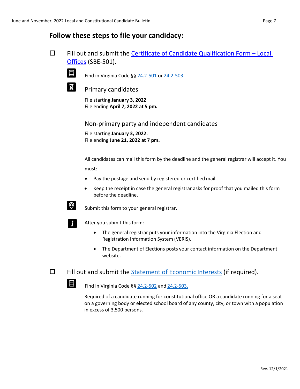## <span id="page-6-0"></span>**Follow these steps to file your candidacy:**



 $\Box$  Fill out and submit the [Certificate of Candidate Qualification Form –](https://www.elections.virginia.gov/media/formswarehouse/campaign-finance/2018/candidates/SBE_501_4-rev7-18.pdf) Local [Offices](https://www.elections.virginia.gov/media/formswarehouse/campaign-finance/2018/candidates/SBE_501_4-rev7-18.pdf) (SBE-501).

Find in Virginia Code §§ [24.2-501](https://law.lis.virginia.gov/vacode/title24.2/chapter5/section24.2-501/) or [24.2-503.](https://law.lis.virginia.gov/vacode/title24.2/chapter5/section24.2-503/)

Primary candidates

File starting **January 3, 2022** File ending **April 7, 2022 at 5 pm.**

Non-primary party and independent candidates

File starting **January 3, 2022.** File ending **June 21, 2022 at 7 pm.**

All candidates can mail this form by the deadline and the general registrar will accept it. You must:

- Pay the postage and send by registered or certified mail.
- Keep the receipt in case the general registrar asks for proof that you mailed this form before the deadline.

 $\bigotimes$  Submit this form to your general registrar.



After you submit this form:

- The general registrar puts your information into the Virginia Election and Registration Information System (VERIS).
- The Department of Elections posts your contact information on the Department website.

 $\Box$  Fill out and submit the [Statement of Economic](http://ethics.dls.virginia.gov/SLSOEI%20_Fillable_FINAL.pdf) Interests (if required).

Find in Virginia Code  $\S$ § [24.2-502](https://law.lis.virginia.gov/vacode/title24.2/chapter5/section24.2-502/) and [24.2-503.](https://law.lis.virginia.gov/vacode/title24.2/chapter5/section24.2-503/)

Required of a candidate running for constitutional office OR a candidate running for a seat on a governing body or elected school board of any county, city, or town with a population in excess of 3,500 persons.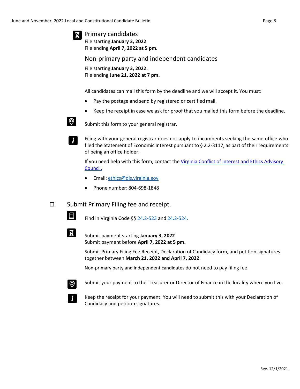Primary candidates

File starting **January 3, 2022** File ending **April 7, 2022 at 5 pm.**

Non-primary party and independent candidates

File starting **January 3, 2022.** File ending **June 21, 2022 at 7 pm.**

All candidates can mail this form by the deadline and we will accept it. You must:

- Pay the postage and send by registered or certified mail.
- Keep the receipt in case we ask for proof that you mailed this form before the deadline.



Ĭ.

 $\bigotimes$  Submit this form to your general registrar.

Filing with your general registrar does not apply to incumbents seeking the same office who filed the Statement of Economic Interest pursuant to § 2.2-3117, as part of their requirements of being an office holder.

If you need help with this form, contact the [Virginia Conflict of Interest and](http://ethics.dls.virginia.gov/conflict-of-interest.asp#officials) Ethics Advisory [Council.](http://ethics.dls.virginia.gov/conflict-of-interest.asp#officials)

- Email: [ethics@dls.virginia.gov](mailto:ethics@dls.virginia.gov)
- Phone number: 804-698-1848

□ Submit Primary Filing fee and receipt.

 $\Box$  Find in Virginia Code §§ [24.2-523](https://law.lis.virginia.gov/vacode/title24.2/chapter5/section24.2-523/) and [24.2-524.](https://law.lis.virginia.gov/vacode/title24.2/chapter5/section24.2-524/)

 Submit payment starting **January 3, 2022** Submit payment before **April 7, 2022 at 5 pm.**

> Submit Primary Filing Fee Receipt, Declaration of Candidacy form, and petition signatures together between **March 21, 2022 and April 7, 2022**.

Non-primary party and independent candidates do not need to pay filing fee.



Submit your payment to the Treasurer or Director of Finance in the locality where you live.



Keep the receipt for your payment. You will need to submit this with your Declaration of Candidacy and petition signatures.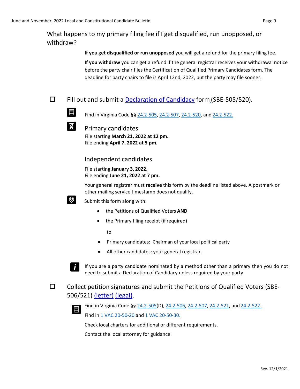## What happens to my primary filing fee if I get disqualified, run unopposed, or withdraw?

**If you get disqualified or run unopposed** you will get a refund for the primary filing fee. **If you withdraw** you can get a refund if the general registrar receives your withdrawal notice before the party chair files the Certification of Qualified Primary Candidates form. The deadline for party chairs to file is April 12nd, 2022, but the party may file sooner.

 $\Box$  Fill out and submit a [Declaration of Candidacy](https://www.elections.virginia.gov/media/formswarehouse/campaign-finance/2018/candidates/SBE_505_520_Declaration_of_Candidacy_Rev1_15.pdf) form (SBE-505/520).



 $\mathbf{X}$  Primary candidates

File starting **March 21, 2022 at 12 pm.** File ending **April 7, 2022 at 5 pm.**

Independent candidates

File starting **January 3, 2022.** File ending **June 21, 2022 at 7 pm.**

Your general registrar must **receive** this form by the deadline listed above. A postmark or other mailing service timestamp does not qualify.



Submit this form along with:

- the Petitions of Qualified Voters **AND**
- the Primary filing receipt (if required)

to

- Primary candidates: Chairman of your local political party
- All other candidates: your general registrar.



If you are a party candidate nominated by a method other than a primary then you do not need to submit a Declaration of Candidacy unless required by your party.

 $\square$  Collect petition signatures and submit the Petitions of Qualified [Voters](https://www.elections.virginia.gov/Files/Forms/Candidates/Petition-of-Qualified-Voters-SBE-506_521_letter.pdf) (SBE-506/521) [\(letter\)](https://www.elections.virginia.gov/media/formswarehouse/campaign-finance/2018/candidates/Petition-of-Qualified-Voters-SBE-506_521_letter.pdf) [\(legal\).](https://www.elections.virginia.gov/media/formswarehouse/campaign-finance/2018/candidates/Petition-of-Qualified-Voters-SBE-506_521_legal.pdf)



Find in Virginia Code §§ [24.2-505\(](https://law.lis.virginia.gov/vacode/title24.2/chapter5/section24.2-505/)D), [24.2-506, 24.2-507,](https://law.lis.virginia.gov/vacode/title24.2/chapter5/section24.2-506/) [24.2-521, a](https://law.lis.virginia.gov/vacode/title24.2/chapter5/section24.2-521/)nd [24.2-522.](https://law.lis.virginia.gov/vacode/title24.2/chapter5/section24.2-522/)

Find in [1 VAC 20-50-20](https://law.lis.virginia.gov/admincode/title1/agency20/chapter50/section20/) and [1 VAC 20-50-30.](https://law.lis.virginia.gov/admincode/title1/agency20/chapter50/section30/)

Check local charters for additional or different requirements.

Contact the local attorney for guidance.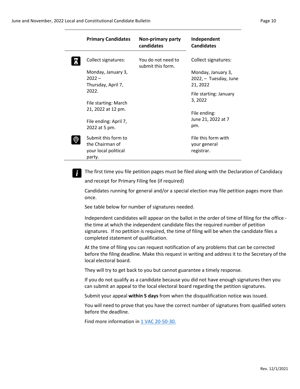| <b>Primary Candidates</b>                                     | Non-primary party<br>candidates         | Independent<br><b>Candidates</b>                                   |
|---------------------------------------------------------------|-----------------------------------------|--------------------------------------------------------------------|
| Collect signatures:<br>Monday, January 3,<br>$2022 -$         | You do not need to<br>submit this form. | Collect signatures:<br>Monday, January 3,<br>2022, - Tuesday, June |
| Thursday, April 7,<br>2022.                                   |                                         | 21, 2022<br>File starting: January<br>3, 2022                      |
| File starting: March<br>21, 2022 at 12 pm.                    |                                         | File ending:<br>June 21, 2022 at 7                                 |
| File ending: April 7,<br>2022 at 5 pm.<br>Submit this form to |                                         | pm.<br>File this form with                                         |
| the Chairman of<br>your local political<br>party.             |                                         | your general<br>registrar.                                         |

**F** The first time you file petition pages must be filed along with the Declaration of Candidacy and receipt for Primary Filing fee (if required)

Candidates running for general and/or a special election may file petition pages more than once.

See table below for number of signatures needed.

Independent candidates will appear on the ballot in the order of time of filing for the office the time at which the independent candidate files the required number of petition signatures. If no petition is required, the time of filing will be when the candidate files a completed statement of qualification.

At the time of filing you can request notification of any problems that can be corrected before the filing deadline. Make this request in writing and address it to the Secretary of the local electoral board.

They will try to get back to you but cannot guarantee a timely response.

If you do not qualify as a candidate because you did not have enough signatures then you can submit an appeal to the local electoral board regarding the petition signatures.

Submit your appeal **within 5 days** from when the disqualification notice was issued.

You will need to prove that you have the correct number of signatures from qualified voters before the deadline.

Find more information in [1 VAC 20-50-30.](https://law.lis.virginia.gov/admincode/title1/agency20/chapter50/section30/)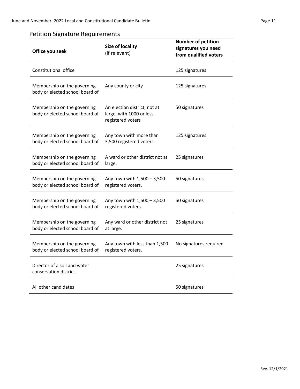## Petition Signature Requirements

| <b>Size of locality</b><br>Office you seek<br>(if relevant)    |                                                                               | <b>Number of petition</b><br>signatures you need<br>from qualified voters |
|----------------------------------------------------------------|-------------------------------------------------------------------------------|---------------------------------------------------------------------------|
| Constitutional office                                          |                                                                               | 125 signatures                                                            |
| Membership on the governing<br>body or elected school board of | Any county or city                                                            | 125 signatures                                                            |
| Membership on the governing<br>body or elected school board of | An election district, not at<br>large, with 1000 or less<br>registered voters | 50 signatures                                                             |
| Membership on the governing<br>body or elected school board of | Any town with more than<br>3,500 registered voters.                           | 125 signatures                                                            |
| Membership on the governing<br>body or elected school board of | A ward or other district not at<br>large.                                     | 25 signatures                                                             |
| Membership on the governing<br>body or elected school board of | Any town with 1,500 - 3,500<br>registered voters.                             | 50 signatures                                                             |
| Membership on the governing<br>body or elected school board of | Any town with 1,500 - 3,500<br>registered voters.                             | 50 signatures                                                             |
| Membership on the governing<br>body or elected school board of | Any ward or other district not<br>at large.                                   | 25 signatures                                                             |
| Membership on the governing<br>body or elected school board of | Any town with less than 1,500<br>registered voters.                           | No signatures required                                                    |
| Director of a soil and water<br>conservation district          |                                                                               | 25 signatures                                                             |
| All other candidates                                           |                                                                               | 50 signatures                                                             |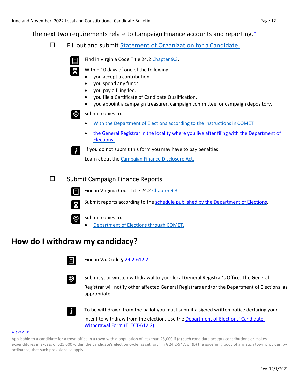The next two requirements relate to Campaign Finance accounts and reporting[.\\*](https://law.lis.virginia.gov/vacode/title24.2/chapter9.3/section24.2-945/)

 $\Box$  Fill out and submit [Statement of Organization for a](https://www.elections.virginia.gov/media/formswarehouse/campaign-finance/2018/candidates/StatementOrganizationCandidate.pdf) Candidate.



<span id="page-11-0"></span>Find in Virginia Code Title 24.2 [Chapter 9.3.](https://law.lis.virginia.gov/vacode/title24.2/chapter9.3/)

Within 10 days of one of the following:

- you accept a contribution.
- you spend any funds.
- you pay a filing fee.
- you file a Certificate of Candidate Qualification.
- you appoint a campaign treasurer, campaign committee, or campaign depository.



**Submit copies to:** 

- [With the Department of Elections according to the instructions in](https://cf.elections.virginia.gov/Account/LogOn?ReturnUrl=%2f) COMET
- [the General Registrar in the locality where you live after filing with the Department of](https://vote.elections.virginia.gov/VoterInformation/PublicContactLookup) [Elections.](https://vote.elections.virginia.gov/VoterInformation/PublicContactLookup)



If you do not submit this form you may have to pay penalties.

Learn about th[e Campaign Finance Disclosure Act.](https://law.lis.virginia.gov/vacode/title24.2/chapter9.3/)

#### $\square$  Submit Campaign Finance Reports

Find in Virginia Code Title 24.[2 Chapter](https://law.lis.virginia.gov/vacode/title24.2/chapter9.3/) 9.3.





 $\odot$ 

Submit reports according to the [schedule published by the Department of](https://www.elections.virginia.gov/candidatepac-info/campaign-finance/) Elections.

Submit copies to:

• [Department of Elections through](https://cf.elections.virginia.gov/Account/LogOn?ReturnUrl=%2f) COMET.

## **How do I withdraw my candidacy?**



Find in Va. Code § [24.2-612.2](https://law.lis.virginia.gov/vacode/title24.2/chapter6/section24.2-612.2/)



Submit your written withdrawal to your local General Registrar's Office. The General Registrar will notify other affected General Registrars and/or the Department of Elections, as appropriate.

To be withdrawn from the ballot you must submit a signed written notice declaring your intent to withdraw from the election. Use th[e Department of Elections' Candidate](https://www.elections.virginia.gov/media/formswarehouse/campaign-finance/2018/candidates/ELECT-612-2-Candidate-Withdrawal-Form-12-17.pdf)  [Withdrawal Form \(ELECT-612.2\)](https://www.elections.virginia.gov/media/formswarehouse/campaign-finance/2018/candidates/ELECT-612-2-Candidate-Withdrawal-Form-12-17.pdf)

#### **\*** [§ 24.2-945](https://law.lis.virginia.gov/vacode/title24.2/chapter9.3/section24.2-945/)

Applicable to a candidate for a town office in a town with a population of less than 25,000 if (a) such candidate accepts contributions or makes expenditures in excess of \$25,000 within the candidate's election cycle, as set forth in § [24.2-947,](https://law.lis.virginia.gov/vacode/24.2-947/) or (b) the governing body of any such town provides, by ordinance, that such provisions so apply.